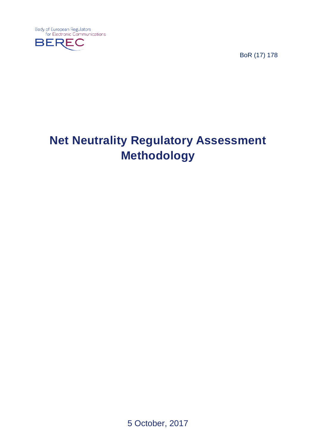**Body of European Regulators** for Electronic Communications



BoR (17) 178

# **Net Neutrality Regulatory Assessment Methodology**

5 October, 2017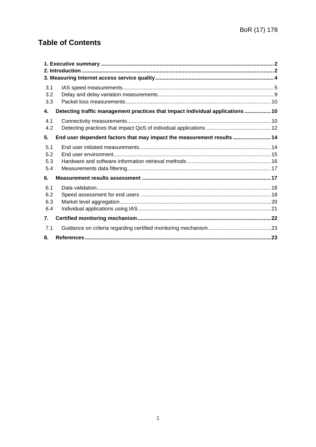# **Table of Contents**

| 3.1<br>3.2<br>3.3        |                                                                                |  |
|--------------------------|--------------------------------------------------------------------------------|--|
| 4.                       | Detecting traffic management practices that impact individual applications  10 |  |
| 4.1<br>4.2               |                                                                                |  |
| 5.                       | End user dependent factors that may impact the measurement results  14         |  |
| 5.1<br>5.2<br>5.3<br>5.4 |                                                                                |  |
| 6.                       |                                                                                |  |
| 6.1<br>6.2<br>6.3<br>6.4 |                                                                                |  |
| 7.                       |                                                                                |  |
| 7.1                      |                                                                                |  |
| 8.                       |                                                                                |  |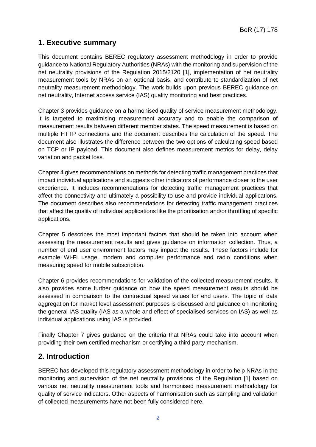# <span id="page-2-0"></span>**1. Executive summary**

This document contains BEREC regulatory assessment methodology in order to provide guidance to National Regulatory Authorities (NRAs) with the monitoring and supervision of the net neutrality provisions of the Regulation 2015/2120 [1], implementation of net neutrality measurement tools by NRAs on an optional basis, and contribute to standardization of net neutrality measurement methodology. The work builds upon previous BEREC guidance on net neutrality, Internet access service (IAS) quality monitoring and best practices.

Chapter 3 provides guidance on a harmonised quality of service measurement methodology. It is targeted to maximising measurement accuracy and to enable the comparison of measurement results between different member states. The speed measurement is based on multiple HTTP connections and the document describes the calculation of the speed. The document also illustrates the difference between the two options of calculating speed based on TCP or IP payload. This document also defines measurement metrics for delay, delay variation and packet loss.

Chapter 4 gives recommendations on methods for detecting traffic management practices that impact individual applications and suggests other indicators of performance closer to the user experience. It includes recommendations for detecting traffic management practices that affect the connectivity and ultimately a possibility to use and provide individual applications. The document describes also recommendations for detecting traffic management practices that affect the quality of individual applications like the prioritisation and/or throttling of specific applications.

Chapter 5 describes the most important factors that should be taken into account when assessing the measurement results and gives guidance on information collection. Thus, a number of end user environment factors may impact the results. These factors include for example Wi-Fi usage, modem and computer performance and radio conditions when measuring speed for mobile subscription.

Chapter 6 provides recommendations for validation of the collected measurement results. It also provides some further guidance on how the speed measurement results should be assessed in comparison to the contractual speed values for end users. The topic of data aggregation for market level assessment purposes is discussed and guidance on monitoring the general IAS quality (IAS as a whole and effect of specialised services on IAS) as well as individual applications using IAS is provided.

Finally Chapter 7 gives guidance on the criteria that NRAs could take into account when providing their own certified mechanism or certifying a third party mechanism.

# <span id="page-2-1"></span>**2. Introduction**

BEREC has developed this regulatory assessment methodology in order to help NRAs in the monitoring and supervision of the net neutrality provisions of the Regulation [1] based on various net neutrality measurement tools and harmonised measurement methodology for quality of service indicators. Other aspects of harmonisation such as sampling and validation of collected measurements have not been fully considered here.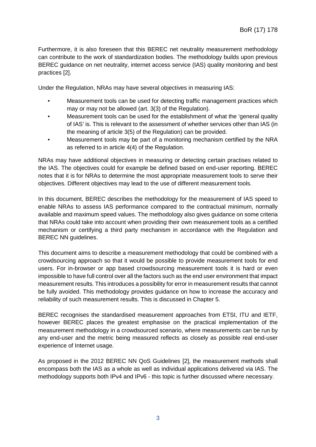Furthermore, it is also foreseen that this BEREC net neutrality measurement methodology can contribute to the work of standardization bodies. The methodology builds upon previous BEREC guidance on net neutrality, internet access service (IAS) quality monitoring and best practices [2].

Under the Regulation, NRAs may have several objectives in measuring IAS:

- Measurement tools can be used for detecting traffic management practices which may or may not be allowed (art. 3(3) of the Regulation).
- Measurement tools can be used for the establishment of what the 'general quality of IAS' is. This is relevant to the assessment of whether services other than IAS (in the meaning of article 3(5) of the Regulation) can be provided.
- Measurement tools may be part of a monitoring mechanism certified by the NRA as referred to in article 4(4) of the Regulation.

NRAs may have additional objectives in measuring or detecting certain practises related to the IAS. The objectives could for example be defined based on end-user reporting. BEREC notes that it is for NRAs to determine the most appropriate measurement tools to serve their objectives. Different objectives may lead to the use of different measurement tools.

In this document, BEREC describes the methodology for the measurement of IAS speed to enable NRAs to assess IAS performance compared to the contractual minimum, normally available and maximum speed values. The methodology also gives guidance on some criteria that NRAs could take into account when providing their own measurement tools as a certified mechanism or certifying a third party mechanism in accordance with the Regulation and BEREC NN guidelines.

This document aims to describe a measurement methodology that could be combined with a crowdsourcing approach so that it would be possible to provide measurement tools for end users. For in-browser or app based crowdsourcing measurement tools it is hard or even impossible to have full control over all the factors such as the end user environment that impact measurement results. This introduces a possibility for error in measurement results that cannot be fully avoided. This methodology provides guidance on how to increase the accuracy and reliability of such measurement results. This is discussed in Chapter 5.

BEREC recognises the standardised measurement approaches from ETSI, ITU and IETF, however BEREC places the greatest emphasise on the practical implementation of the measurement methodology in a crowdsourced scenario, where measurements can be run by any end-user and the metric being measured reflects as closely as possible real end-user experience of Internet usage.

As proposed in the 2012 BEREC NN QoS Guidelines [2], the measurement methods shall encompass both the IAS as a whole as well as individual applications delivered via IAS. The methodology supports both IPv4 and IPv6 - this topic is further discussed where necessary.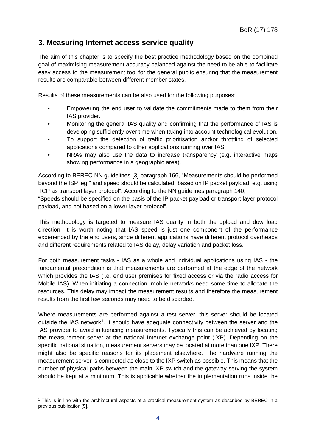# <span id="page-4-0"></span>**3. Measuring Internet access service quality**

The aim of this chapter is to specify the best practice methodology based on the combined goal of maximising measurement accuracy balanced against the need to be able to facilitate easy access to the measurement tool for the general public ensuring that the measurement results are comparable between different member states.

Results of these measurements can be also used for the following purposes:

- Empowering the end user to validate the commitments made to them from their IAS provider.
- Monitoring the general IAS quality and confirming that the performance of IAS is developing sufficiently over time when taking into account technological evolution.
- To support the detection of traffic prioritisation and/or throttling of selected applications compared to other applications running over IAS.
- NRAs may also use the data to increase transparency (e.g. interactive maps showing performance in a geographic area).

According to BEREC NN guidelines [3] paragraph 166, "Measurements should be performed beyond the ISP leg." and speed should be calculated "based on IP packet payload, e.g. using TCP as transport layer protocol". According to the NN guidelines paragraph 140,

"Speeds should be specified on the basis of the IP packet payload or transport layer protocol payload, and not based on a lower layer protocol".

This methodology is targeted to measure IAS quality in both the upload and download direction. It is worth noting that IAS speed is just one component of the performance experienced by the end users, since different applications have different protocol overheads and different requirements related to IAS delay, delay variation and packet loss.

For both measurement tasks - IAS as a whole and individual applications using IAS - the fundamental precondition is that measurements are performed at the edge of the network which provides the IAS (i.e. end user premises for fixed access or via the radio access for Mobile IAS). When initiating a connection, mobile networks need some time to allocate the resources. This delay may impact the measurement results and therefore the measurement results from the first few seconds may need to be discarded.

Where measurements are performed against a test server, this server should be located outside the IAS network<sup>[1](#page-4-1)</sup>. It should have adequate connectivity between the server and the IAS provider to avoid influencing measurements. Typically this can be achieved by locating the measurement server at the national Internet exchange point (IXP). Depending on the specific national situation, measurement servers may be located at more than one IXP. There might also be specific reasons for its placement elsewhere. The hardware running the measurement server is connected as close to the IXP switch as possible. This means that the number of physical paths between the main IXP switch and the gateway serving the system should be kept at a minimum. This is applicable whether the implementation runs inside the

<span id="page-4-1"></span> <sup>1</sup> This is in line with the architectural aspects of a practical measurement system as described by BEREC in a previous publication [5].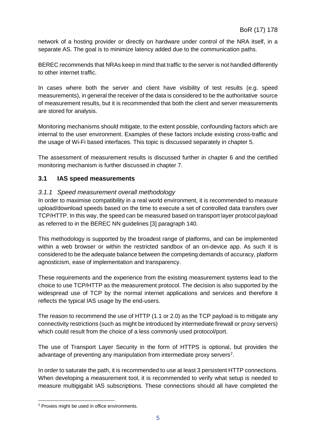network of a hosting provider or directly on hardware under control of the NRA itself, in a separate AS. The goal is to minimize latency added due to the communication paths.

BEREC recommends that NRAs keep in mind that traffic to the server is not handled differently to other internet traffic.

In cases where both the server and client have visibility of test results (e.g. speed measurements), in general the receiver of the data is considered to be the authoritative source of measurement results, but it is recommended that both the client and server measurements are stored for analysis.

Monitoring mechanisms should mitigate, to the extent possible, confounding factors which are internal to the user environment. Examples of these factors include existing cross-traffic and the usage of Wi-Fi based interfaces. This topic is discussed separately in chapter 5.

The assessment of measurement results is discussed further in chapter 6 and the certified monitoring mechanism is further discussed in chapter 7.

### <span id="page-5-0"></span>**3.1 IAS speed measurements**

#### *3.1.1 Speed measurement overall methodology*

In order to maximise compatibility in a real world environment, it is recommended to measure upload/download speeds based on the time to execute a set of controlled data transfers over TCP/HTTP. In this way, the speed can be measured based on transport layer protocol payload as referred to in the BEREC NN guidelines [3] paragraph 140.

This methodology is supported by the broadest range of platforms, and can be implemented within a web browser or within the restricted sandbox of an on-device app. As such it is considered to be the adequate balance between the competing demands of accuracy, platform agnosticism, ease of implementation and transparency.

These requirements and the experience from the existing measurement systems lead to the choice to use TCP/HTTP as the measurement protocol. The decision is also supported by the widespread use of TCP by the normal internet applications and services and therefore it reflects the typical IAS usage by the end-users.

The reason to recommend the use of HTTP (1.1 or 2.0) as the TCP payload is to mitigate any connectivity restrictions (such as might be introduced by intermediate firewall or proxy servers) which could result from the choice of a less commonly used protocol/port.

The use of Transport Layer Security in the form of HTTPS is optional, but provides the advantage of preventing any manipulation from intermediate proxy servers<sup>[2](#page-5-1)</sup>.

In order to saturate the path, it is recommended to use at least 3 persistent HTTP connections. When developing a measurement tool, it is recommended to verify what setup is needed to measure multigigabit IAS subscriptions. These connections should all have completed the

<span id="page-5-1"></span> <sup>2</sup> Proxies might be used in office environments.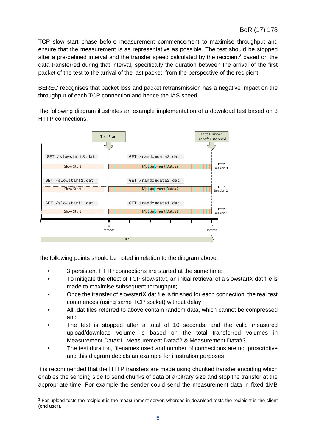TCP slow start phase before measurement commencement to maximise throughput and ensure that the measurement is as representative as possible. The test should be stopped after a pre-defined interval and the transfer speed calculated by the recipient<sup>[3](#page-6-0)</sup> based on the data transferred during that interval, specifically the duration between the arrival of the first packet of the test to the arrival of the last packet, from the perspective of the recipient.

BEREC recognises that packet loss and packet retransmission has a negative impact on the throughput of each TCP connection and hence the IAS speed.

The following diagram illustrates an example implementation of a download test based on 3 HTTP connections.



The following points should be noted in relation to the diagram above:

- 3 persistent HTTP connections are started at the same time;
- To mitigate the effect of TCP slow-start, an initial retrieval of a slowstartX.dat file is made to maximise subsequent throughput;
- Once the transfer of slowstartX.dat file is finished for each connection, the real test commences (using same TCP socket) without delay;
- All .dat files referred to above contain random data, which cannot be compressed and
- The test is stopped after a total of 10 seconds, and the valid measured upload/download volume is based on the total transferred volumes in Measurement Data#1, Measurement Data#2 & Measurement Data#3.
- The test duration, filenames used and number of connections are not proscriptive and this diagram depicts an example for illustration purposes

It is recommended that the HTTP transfers are made using chunked transfer encoding which enables the sending side to send chunks of data of arbitrary size and stop the transfer at the appropriate time. For example the sender could send the measurement data in fixed 1MB

<span id="page-6-0"></span><sup>&</sup>lt;sup>3</sup> For upload tests the recipient is the measurement server, whereas in download tests the recipient is the client (end user).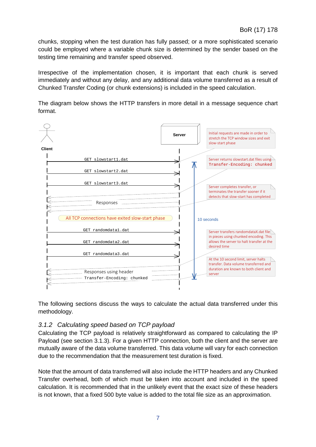chunks, stopping when the test duration has fully passed; or a more sophisticated scenario could be employed where a variable chunk size is determined by the sender based on the testing time remaining and transfer speed observed.

Irrespective of the implementation chosen, it is important that each chunk is served immediately and without any delay, and any additional data volume transferred as a result of Chunked Transfer Coding (or chunk extensions) is included in the speed calculation.

The diagram below shows the HTTP transfers in more detail in a message sequence chart format.



The following sections discuss the ways to calculate the actual data transferred under this methodology.

### *3.1.2 Calculating speed based on TCP payload*

Calculating the TCP payload is relatively straightforward as compared to calculating the IP Payload (see section 3.1.3). For a given HTTP connection, both the client and the server are mutually aware of the data volume transferred. This data volume will vary for each connection due to the recommendation that the measurement test duration is fixed.

Note that the amount of data transferred will also include the HTTP headers and any Chunked Transfer overhead, both of which must be taken into account and included in the speed calculation. It is recommended that in the unlikely event that the exact size of these headers is not known, that a fixed 500 byte value is added to the total file size as an approximation.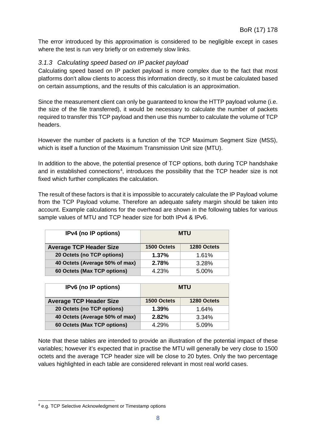The error introduced by this approximation is considered to be negligible except in cases where the test is run very briefly or on extremely slow links.

#### *3.1.3 Calculating speed based on IP packet payload*

Calculating speed based on IP packet payload is more complex due to the fact that most platforms don't allow clients to access this information directly, so it must be calculated based on certain assumptions, and the results of this calculation is an approximation.

Since the measurement client can only be guaranteed to know the HTTP payload volume (i.e. the size of the file transferred), it would be necessary to calculate the number of packets required to transfer this TCP payload and then use this number to calculate the volume of TCP headers.

However the number of packets is a function of the TCP Maximum Segment Size (MSS), which is itself a function of the Maximum Transmission Unit size (MTU).

In addition to the above, the potential presence of TCP options, both during TCP handshake and in established connections<sup>[4](#page-8-0)</sup>, introduces the possibility that the TCP header size is not fixed which further complicates the calculation.

The result of these factors is that it is impossible to accurately calculate the IP Payload volume from the TCP Payload volume. Therefore an adequate safety margin should be taken into account. Example calculations for the overhead are shown in the following tables for various sample values of MTU and TCP header size for both IPv4 & IPv6.

| IPv4 (no IP options)           | <b>MTU</b>  |             |
|--------------------------------|-------------|-------------|
| <b>Average TCP Header Size</b> | 1500 Octets | 1280 Octets |
| 20 Octets (no TCP options)     | 1.37%       | 1.61%       |
| 40 Octets (Average 50% of max) | 2.78%       | 3.28%       |
| 60 Octets (Max TCP options)    | 4.23%       | 5.00%       |

| IPv6 (no IP options)           | <b>MTU</b>  |             |
|--------------------------------|-------------|-------------|
| <b>Average TCP Header Size</b> | 1500 Octets | 1280 Octets |
| 20 Octets (no TCP options)     | 1.39%       | 1.64%       |
| 40 Octets (Average 50% of max) | 2.82%       | 3.34%       |
| 60 Octets (Max TCP options)    | 4.29%       | 5.09%       |

Note that these tables are intended to provide an illustration of the potential impact of these variables; however it's expected that in practise the MTU will generally be very close to 1500 octets and the average TCP header size will be close to 20 bytes. Only the two percentage values highlighted in each table are considered relevant in most real world cases.

<span id="page-8-0"></span> <sup>4</sup> e.g. TCP Selective Acknowledgment or Timestamp options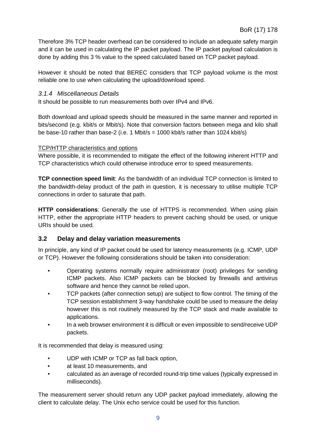Therefore 3% TCP header overhead can be considered to include an adequate safety margin and it can be used in calculating the IP packet payload. The IP packet payload calculation is done by adding this 3 % value to the speed calculated based on TCP packet payload.

However it should be noted that BEREC considers that TCP payload volume is the most reliable one to use when calculating the upload/download speed.

#### *3.1.4 Miscellaneous Details*

It should be possible to run measurements both over IPv4 and IPv6.

Both download and upload speeds should be measured in the same manner and reported in bits/second (e.g. kbit/s or Mbit/s). Note that conversion factors between mega and kilo shall be base-10 rather than base-2 (i.e. 1 Mbit/s = 1000 kbit/s rather than 1024 kbit/s)

#### TCP/HTTP characteristics and options

Where possible, it is recommended to mitigate the effect of the following inherent HTTP and TCP characteristics which could otherwise introduce error to speed measurements.

**TCP connection speed limit**: As the bandwidth of an individual TCP connection is limited to the bandwidth-delay product of the path in question, it is necessary to utilise multiple TCP connections in order to saturate that path.

**HTTP considerations**: Generally the use of HTTPS is recommended. When using plain HTTP, either the appropriate HTTP headers to prevent caching should be used, or unique URIs should be used.

### <span id="page-9-0"></span>**3.2 Delay and delay variation measurements**

In principle, any kind of IP packet could be used for latency measurements (e.g. ICMP, UDP or TCP). However the following considerations should be taken into consideration:

- Operating systems normally require administrator (root) privileges for sending ICMP packets. Also ICMP packets can be blocked by firewalls and antivirus software and hence they cannot be relied upon.
- TCP packets (after connection setup) are subject to flow control. The timing of the TCP session establishment 3-way handshake could be used to measure the delay however this is not routinely measured by the TCP stack and made available to applications.
- In a web browser environment it is difficult or even impossible to send/receive UDP packets.

It is recommended that delay is measured using:

- UDP with ICMP or TCP as fall back option,
- at least 10 measurements, and
- calculated as an average of recorded round-trip time values (typically expressed in milliseconds).

The measurement server should return any UDP packet payload immediately, allowing the client to calculate delay. The Unix echo service could be used for this function.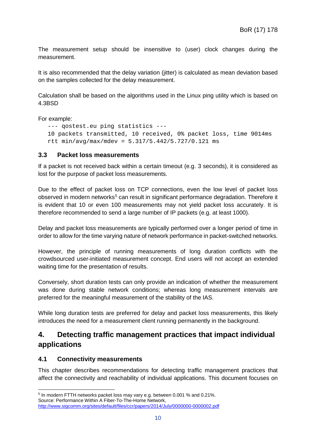The measurement setup should be insensitive to (user) clock changes during the measurement.

It is also recommended that the delay variation (jitter) is calculated as mean deviation based on the samples collected for the delay measurement.

Calculation shall be based on the algorithms used in the Linux ping utility which is based on 4.3BSD

For example:

```
--- qostest.eu ping statistics ---
10 packets transmitted, 10 received, 0% packet loss, time 9014ms
rtt min/avg/max/mdev = 5.317/5.442/5.727/0.121 ms
```
#### <span id="page-10-0"></span>**3.3 Packet loss measurements**

If a packet is not received back within a certain timeout (e.g. 3 seconds), it is considered as lost for the purpose of packet loss measurements.

Due to the effect of packet loss on TCP connections, even the low level of packet loss observed in modern networks<sup>[5](#page-10-3)</sup> can result in significant performance degradation. Therefore it is evident that 10 or even 100 measurements may not yield packet loss accurately. It is therefore recommended to send a large number of IP packets (e.g. at least 1000).

Delay and packet loss measurements are typically performed over a longer period of time in order to allow for the time varying nature of network performance in packet-switched networks.

However, the principle of running measurements of long duration conflicts with the crowdsourced user-initiated measurement concept. End users will not accept an extended waiting time for the presentation of results.

Conversely, short duration tests can only provide an indication of whether the measurement was done during stable network conditions; whereas long measurement intervals are preferred for the meaningful measurement of the stability of the IAS.

While long duration tests are preferred for delay and packet loss measurements, this likely introduces the need for a measurement client running permanently in the background.

# <span id="page-10-1"></span>**4. Detecting traffic management practices that impact individual applications**

#### <span id="page-10-2"></span>**4.1 Connectivity measurements**

This chapter describes recommendations for detecting traffic management practices that affect the connectivity and reachability of individual applications. This document focuses on

<span id="page-10-3"></span> <sup>5</sup> In modern FTTH networks packet loss may vary e.g. between 0.001 % and 0.21%. Source: Performance Within A Fiber-To-The-Home Network,

<http://www.sigcomm.org/sites/default/files/ccr/papers/2014/July/0000000-0000002.pdf>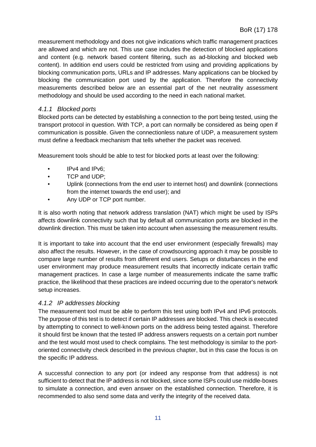measurement methodology and does not give indications which traffic management practices are allowed and which are not. This use case includes the detection of blocked applications and content (e.g. network based content filtering, such as ad-blocking and blocked web content). In addition end users could be restricted from using and providing applications by blocking communication ports, URLs and IP addresses. Many applications can be blocked by blocking the communication port used by the application. Therefore the connectivity measurements described below are an essential part of the net neutrality assessment methodology and should be used according to the need in each national market.

#### *4.1.1 Blocked ports*

Blocked ports can be detected by establishing a connection to the port being tested, using the transport protocol in question. With TCP, a port can normally be considered as being open if communication is possible. Given the connectionless nature of UDP, a measurement system must define a feedback mechanism that tells whether the packet was received.

Measurement tools should be able to test for blocked ports at least over the following:

- IPv4 and IPv6:
- TCP and UDP;
- Uplink (connections from the end user to internet host) and downlink (connections from the internet towards the end user); and
- Any UDP or TCP port number.

It is also worth noting that network address translation (NAT) which might be used by ISPs affects downlink connectivity such that by default all communication ports are blocked in the downlink direction. This must be taken into account when assessing the measurement results.

It is important to take into account that the end user environment (especially firewalls) may also affect the results. However, in the case of crowdsourcing approach it may be possible to compare large number of results from different end users. Setups or disturbances in the end user environment may produce measurement results that incorrectly indicate certain traffic management practices. In case a large number of measurements indicate the same traffic practice, the likelihood that these practices are indeed occurring due to the operator's network setup increases.

### *4.1.2 IP addresses blocking*

The measurement tool must be able to perform this test using both IPv4 and IPv6 protocols. The purpose of this test is to detect if certain IP addresses are blocked. This check is executed by attempting to connect to well-known ports on the address being tested against. Therefore it should first be known that the tested IP address answers requests on a certain port number and the test would most used to check complains. The test methodology is similar to the portoriented connectivity check described in the previous chapter, but in this case the focus is on the specific IP address.

A successful connection to any port (or indeed any response from that address) is not sufficient to detect that the IP address is not blocked, since some ISPs could use middle-boxes to simulate a connection, and even answer on the established connection. Therefore, it is recommended to also send some data and verify the integrity of the received data.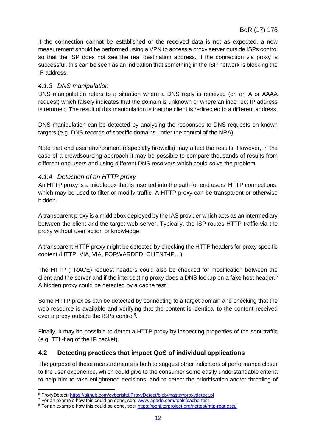If the connection cannot be established or the received data is not as expected, a new measurement should be performed using a VPN to access a proxy server outside ISPs control so that the ISP does not see the real destination address. If the connection via proxy is successful, this can be seen as an indication that something in the ISP network is blocking the IP address.

#### *4.1.3 DNS manipulation*

DNS manipulation refers to a situation where a DNS reply is received (on an A or AAAA request) which falsely indicates that the domain is unknown or where an incorrect IP address is returned. The result of this manipulation is that the client is redirected to a different address.

DNS manipulation can be detected by analysing the responses to DNS requests on known targets (e.g. DNS records of specific domains under the control of the NRA).

Note that end user environment (especially firewalls) may affect the results. However, in the case of a crowdsourcing approach it may be possible to compare thousands of results from different end users and using different DNS resolvers which could solve the problem.

#### *4.1.4 Detection of an HTTP proxy*

An HTTP proxy is a middlebox that is inserted into the path for end users' HTTP connections, which may be used to filter or modify traffic. A HTTP proxy can be transparent or otherwise hidden.

A transparent proxy is a middlebox deployed by the IAS provider which acts as an intermediary between the client and the target web server. Typically, the ISP routes HTTP traffic via the proxy without user action or knowledge.

A transparent HTTP proxy might be detected by checking the HTTP headers for proxy specific content (HTTP\_VIA, VIA, FORWARDED, CLIENT-IP…).

The HTTP (TRACE) request headers could also be checked for modification between the client and the server and if the intercepting proxy does a DNS lookup on a fake host header.<sup>[6](#page-12-1)</sup> A hidden proxy could be detected by a cache test<sup>[7](#page-12-2)</sup>.

Some HTTP proxies can be detected by connecting to a target domain and checking that the web resource is available and verifying that the content is identical to the content received over a proxy outside the ISPs control<sup>[8](#page-12-3)</sup>.

Finally, it may be possible to detect a HTTP proxy by inspecting properties of the sent traffic (e.g. TTL-flag of the IP packet).

#### <span id="page-12-0"></span>**4.2 Detecting practices that impact QoS of individual applications**

The purpose of these measurements is both to suggest other indicators of performance closer to the user experience, which could give to the consumer some easily understandable criteria to help him to take enlightened decisions, and to detect the prioritisation and/or throttling of

<span id="page-12-1"></span> <sup>6</sup> ProxyDetect:<https://github.com/cyberisltd/ProxyDetect/blob/master/proxydetect.pl>

<span id="page-12-2"></span><sup>&</sup>lt;sup>7</sup> For an example how this could be done, see[: www.lagado.com/tools/cache-test](http://www.lagado.com/tools/cache-test)

<span id="page-12-3"></span><sup>&</sup>lt;sup>8</sup> For an example how this could be done, see[: https://ooni.torproject.org/nettest/http-requests/](https://ooni.torproject.org/nettest/http-requests/)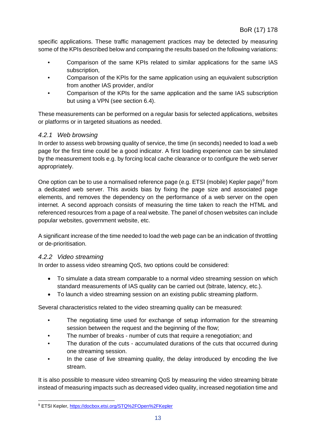specific applications. These traffic management practices may be detected by measuring some of the KPIs described below and comparing the results based on the following variations:

- Comparison of the same KPIs related to similar applications for the same IAS subscription,
- Comparison of the KPIs for the same application using an equivalent subscription from another IAS provider, and/or
- Comparison of the KPIs for the same application and the same IAS subscription but using a VPN (see section 6.4).

These measurements can be performed on a regular basis for selected applications, websites or platforms or in targeted situations as needed.

#### *4.2.1 Web browsing*

In order to assess web browsing quality of service, the time (in seconds) needed to load a web page for the first time could be a good indicator. A first loading experience can be simulated by the measurement tools e.g. by forcing local cache clearance or to configure the web server appropriately.

One option can be to use a normalised reference page (e.g. ETSI (mobile) Kepler page)<sup>[9](#page-13-0)</sup> from a dedicated web server. This avoids bias by fixing the page size and associated page elements, and removes the dependency on the performance of a web server on the open internet. A second approach consists of measuring the time taken to reach the HTML and referenced resources from a page of a real website. The panel of chosen websites can include popular websites, government website, etc.

A significant increase of the time needed to load the web page can be an indication of throttling or de-prioritisation.

#### *4.2.2 Video streaming*

In order to assess video streaming QoS, two options could be considered:

- To simulate a data stream comparable to a normal video streaming session on which standard measurements of IAS quality can be carried out (bitrate, latency, etc.).
- To launch a video streaming session on an existing public streaming platform.

Several characteristics related to the video streaming quality can be measured:

- The negotiating time used for exchange of setup information for the streaming session between the request and the beginning of the flow;
- The number of breaks number of cuts that require a renegotiation; and
- The duration of the cuts accumulated durations of the cuts that occurred during one streaming session.
- In the case of live streaming quality, the delay introduced by encoding the live stream.

It is also possible to measure video streaming QoS by measuring the video streaming bitrate instead of measuring impacts such as decreased video quality, increased negotiation time and

<span id="page-13-0"></span> <sup>9</sup> ETSI Kepler,<https://docbox.etsi.org/STQ%2FOpen%2FKepler>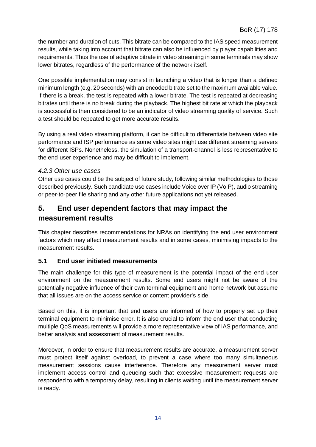the number and duration of cuts. This bitrate can be compared to the IAS speed measurement results, while taking into account that bitrate can also be influenced by player capabilities and requirements. Thus the use of adaptive bitrate in video streaming in some terminals may show lower bitrates, regardless of the performance of the network itself.

One possible implementation may consist in launching a video that is longer than a defined minimum length (e.g. 20 seconds) with an encoded bitrate set to the maximum available value. If there is a break, the test is repeated with a lower bitrate. The test is repeated at decreasing bitrates until there is no break during the playback. The highest bit rate at which the playback is successful is then considered to be an indicator of video streaming quality of service. Such a test should be repeated to get more accurate results.

By using a real video streaming platform, it can be difficult to differentiate between video site performance and ISP performance as some video sites might use different streaming servers for different ISPs. Nonetheless, the simulation of a transport-channel is less representative to the end-user experience and may be difficult to implement.

#### *4.2.3 Other use cases*

Other use cases could be the subject of future study, following similar methodologies to those described previously. Such candidate use cases include Voice over IP (VoIP), audio streaming or peer-to-peer file sharing and any other future applications not yet released.

# <span id="page-14-0"></span>**5. End user dependent factors that may impact the measurement results**

This chapter describes recommendations for NRAs on identifying the end user environment factors which may affect measurement results and in some cases, minimising impacts to the measurement results.

#### <span id="page-14-1"></span>**5.1 End user initiated measurements**

The main challenge for this type of measurement is the potential impact of the end user environment on the measurement results. Some end users might not be aware of the potentially negative influence of their own terminal equipment and home network but assume that all issues are on the access service or content provider's side.

Based on this, it is important that end users are informed of how to properly set up their terminal equipment to minimise error. It is also crucial to inform the end user that conducting multiple QoS measurements will provide a more representative view of IAS performance, and better analysis and assessment of measurement results.

Moreover, in order to ensure that measurement results are accurate, a measurement server must protect itself against overload, to prevent a case where too many simultaneous measurement sessions cause interference. Therefore any measurement server must implement access control and queueing such that excessive measurement requests are responded to with a temporary delay, resulting in clients waiting until the measurement server is ready.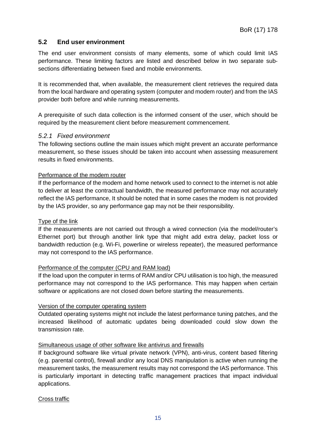#### <span id="page-15-0"></span>**5.2 End user environment**

The end user environment consists of many elements, some of which could limit IAS performance. These limiting factors are listed and described below in two separate subsections differentiating between fixed and mobile environments.

It is recommended that, when available, the measurement client retrieves the required data from the local hardware and operating system (computer and modem router) and from the IAS provider both before and while running measurements.

A prerequisite of such data collection is the informed consent of the user, which should be required by the measurement client before measurement commencement.

#### *5.2.1 Fixed environment*

The following sections outline the main issues which might prevent an accurate performance measurement, so these issues should be taken into account when assessing measurement results in fixed environments.

#### Performance of the modem router

If the performance of the modem and home network used to connect to the internet is not able to deliver at least the contractual bandwidth, the measured performance may not accurately reflect the IAS performance, It should be noted that in some cases the modem is not provided by the IAS provider, so any performance gap may not be their responsibility.

#### Type of the link

If the measurements are not carried out through a wired connection (via the model/router's Ethernet port) but through another link type that might add extra delay, packet loss or bandwidth reduction (e.g. Wi-Fi, powerline or wireless repeater), the measured performance may not correspond to the IAS performance.

#### Performance of the computer (CPU and RAM load)

If the load upon the computer in terms of RAM and/or CPU utilisation is too high, the measured performance may not correspond to the IAS performance. This may happen when certain software or applications are not closed down before starting the measurements.

#### Version of the computer operating system

Outdated operating systems might not include the latest performance tuning patches, and the increased likelihood of automatic updates being downloaded could slow down the transmission rate.

#### Simultaneous usage of other software like antivirus and firewalls

If background software like virtual private network (VPN), anti-virus, content based filtering (e.g. parental control), firewall and/or any local DNS manipulation is active when running the measurement tasks, the measurement results may not correspond the IAS performance. This is particularly important in detecting traffic management practices that impact individual applications.

Cross traffic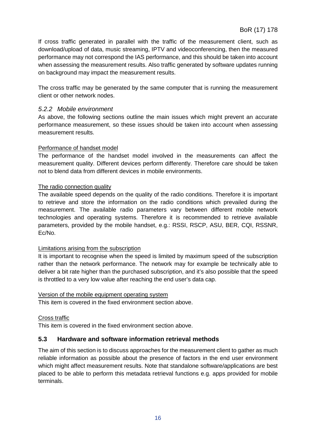If cross traffic generated in parallel with the traffic of the measurement client, such as download/upload of data, music streaming, IPTV and videoconferencing, then the measured performance may not correspond the IAS performance, and this should be taken into account when assessing the measurement results. Also traffic generated by software updates running on background may impact the measurement results.

The cross traffic may be generated by the same computer that is running the measurement client or other network nodes.

#### *5.2.2 Mobile environment*

As above, the following sections outline the main issues which might prevent an accurate performance measurement, so these issues should be taken into account when assessing measurement results.

#### Performance of handset model

The performance of the handset model involved in the measurements can affect the measurement quality. Different devices perform differently. Therefore care should be taken not to blend data from different devices in mobile environments.

#### The radio connection quality

The available speed depends on the quality of the radio conditions. Therefore it is important to retrieve and store the information on the radio conditions which prevailed during the measurement. The available radio parameters vary between different mobile network technologies and operating systems. Therefore it is recommended to retrieve available parameters, provided by the mobile handset, e.g.: RSSI, RSCP, ASU, BER, CQI, RSSNR, Ec/No.

#### Limitations arising from the subscription

It is important to recognise when the speed is limited by maximum speed of the subscription rather than the network performance. The network may for example be technically able to deliver a bit rate higher than the purchased subscription, and it's also possible that the speed is throttled to a very low value after reaching the end user's data cap.

#### Version of the mobile equipment operating system

This item is covered in the fixed environment section above.

#### Cross traffic

This item is covered in the fixed environment section above.

#### <span id="page-16-0"></span>**5.3 Hardware and software information retrieval methods**

The aim of this section is to discuss approaches for the measurement client to gather as much reliable information as possible about the presence of factors in the end user environment which might affect measurement results. Note that standalone software/applications are best placed to be able to perform this metadata retrieval functions e.g. apps provided for mobile terminals.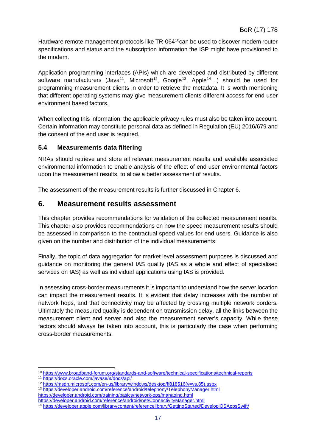Hardware remote management protocols like TR-064<sup>10</sup>can be used to discover modem router specifications and status and the subscription information the ISP might have provisioned to the modem.

Application programming interfaces (APIs) which are developed and distributed by different software manufacturers (Java<sup>11</sup>, Microsoft<sup>12</sup>, Google<sup>13</sup>, Apple<sup>14</sup>...) should be used for programming measurement clients in order to retrieve the metadata. It is worth mentioning that different operating systems may give measurement clients different access for end user environment based factors.

When collecting this information, the applicable privacy rules must also be taken into account. Certain information may constitute personal data as defined in Regulation (EU) 2016/679 and the consent of the end user is required.

#### <span id="page-17-0"></span>**5.4 Measurements data filtering**

NRAs should retrieve and store all relevant measurement results and available associated environmental information to enable analysis of the effect of end user environmental factors upon the measurement results, to allow a better assessment of results.

The assessment of the measurement results is further discussed in Chapter 6.

## <span id="page-17-1"></span>**6. Measurement results assessment**

This chapter provides recommendations for validation of the collected measurement results. This chapter also provides recommendations on how the speed measurement results should be assessed in comparison to the contractual speed values for end users. Guidance is also given on the number and distribution of the individual measurements.

Finally, the topic of data aggregation for market level assessment purposes is discussed and guidance on monitoring the general IAS quality (IAS as a whole and effect of specialised services on IAS) as well as individual applications using IAS is provided.

In assessing cross-border measurements it is important to understand how the server location can impact the measurement results. It is evident that delay increases with the number of network hops, and that connectivity may be affected by crossing multiple network borders. Ultimately the measured quality is dependent on transmission delay, all the links between the measurement client and server and also the measurement server's capacity. While these factors should always be taken into account, this is particularly the case when performing cross-border measurements.

 <sup>10</sup> <https://www.broadband-forum.org/standards-and-software/technical-specifications/technical-reports>

<span id="page-17-3"></span><span id="page-17-2"></span><sup>11</sup> <https://docs.oracle.com/javase/8/docs/api/>

<sup>12</sup> [https://msdn.microsoft.com/en-us/library/windows/desktop/ff818516\(v=vs.85\).aspx](https://msdn.microsoft.com/en-us/library/windows/desktop/ff818516(v=vs.85).aspx)

<span id="page-17-5"></span><span id="page-17-4"></span><sup>13</sup> <https://developer.android.com/reference/android/telephony/TelephonyManager.html> <https://developer.android.com/training/basics/network-ops/managing.html> <https://developer.android.com/reference/android/net/ConnectivityManager.html>

<span id="page-17-6"></span><sup>14</sup> <https://developer.apple.com/library/content/referencelibrary/GettingStarted/DevelopiOSAppsSwift/>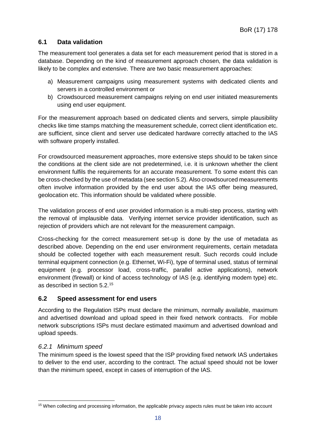### <span id="page-18-0"></span>**6.1 Data validation**

The measurement tool generates a data set for each measurement period that is stored in a database. Depending on the kind of measurement approach chosen, the data validation is likely to be complex and extensive. There are two basic measurement approaches:

- a) Measurement campaigns using measurement systems with dedicated clients and servers in a controlled environment or
- b) Crowdsourced measurement campaigns relying on end user initiated measurements using end user equipment.

For the measurement approach based on dedicated clients and servers, simple plausibility checks like time stamps matching the measurement schedule, correct client identification etc. are sufficient, since client and server use dedicated hardware correctly attached to the IAS with software properly installed.

For crowdsourced measurement approaches, more extensive steps should to be taken since the conditions at the client side are not predetermined, i.e. it is unknown whether the client environment fulfils the requirements for an accurate measurement. To some extent this can be cross-checked by the use of metadata (see section 5.2). Also crowdsourced measurements often involve information provided by the end user about the IAS offer being measured, geolocation etc. This information should be validated where possible.

The validation process of end user provided information is a multi-step process, starting with the removal of implausible data. Verifying internet service provider identification, such as rejection of providers which are not relevant for the measurement campaign.

Cross-checking for the correct measurement set-up is done by the use of metadata as described above. Depending on the end user environment requirements, certain metadata should be collected together with each measurement result. Such records could include terminal equipment connection (e.g. Ethernet, Wi-Fi), type of terminal used, status of terminal equipment (e.g. processor load, cross-traffic, parallel active applications), network environment (firewall) or kind of access technology of IAS (e.g. identifying modem type) etc. as described in section 5.2. [15](#page-18-2)

#### <span id="page-18-1"></span>**6.2 Speed assessment for end users**

According to the Regulation ISPs must declare the minimum, normally available, maximum and advertised download and upload speed in their fixed network contracts. For mobile network subscriptions ISPs must declare estimated maximum and advertised download and upload speeds.

#### *6.2.1 Minimum speed*

The minimum speed is the lowest speed that the ISP providing fixed network IAS undertakes to deliver to the end user, according to the contract. The actual speed should not be lower than the minimum speed, except in cases of interruption of the IAS.

<span id="page-18-2"></span><sup>&</sup>lt;sup>15</sup> When collecting and processing information, the applicable privacy aspects rules must be taken into account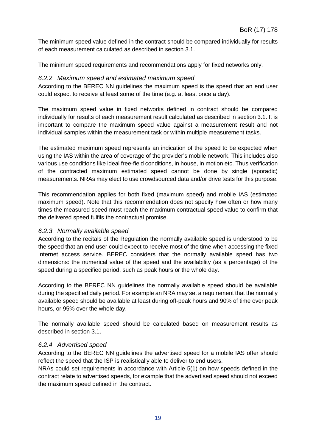The minimum speed value defined in the contract should be compared individually for results of each measurement calculated as described in section 3.1.

The minimum speed requirements and recommendations apply for fixed networks only.

#### *6.2.2 Maximum speed and estimated maximum speed*

According to the BEREC NN guidelines the maximum speed is the speed that an end user could expect to receive at least some of the time (e.g. at least once a day).

The maximum speed value in fixed networks defined in contract should be compared individually for results of each measurement result calculated as described in section 3.1. It is important to compare the maximum speed value against a measurement result and not individual samples within the measurement task or within multiple measurement tasks.

The estimated maximum speed represents an indication of the speed to be expected when using the IAS within the area of coverage of the provider's mobile network. This includes also various use conditions like ideal free-field conditions, in house, in motion etc. Thus verification of the contracted maximum estimated speed cannot be done by single (sporadic) measurements. NRAs may elect to use crowdsourced data and/or drive tests for this purpose.

This recommendation applies for both fixed (maximum speed) and mobile IAS (estimated maximum speed). Note that this recommendation does not specify how often or how many times the measured speed must reach the maximum contractual speed value to confirm that the delivered speed fulfils the contractual promise.

#### *6.2.3 Normally available speed*

According to the recitals of the Regulation the normally available speed is understood to be the speed that an end user could expect to receive most of the time when accessing the fixed Internet access service. BEREC considers that the normally available speed has two dimensions: the numerical value of the speed and the availability (as a percentage) of the speed during a specified period, such as peak hours or the whole day.

According to the BEREC NN guidelines the normally available speed should be available during the specified daily period. For example an NRA may set a requirement that the normally available speed should be available at least during off-peak hours and 90% of time over peak hours, or 95% over the whole day.

The normally available speed should be calculated based on measurement results as described in section 3.1.

#### *6.2.4 Advertised speed*

According to the BEREC NN guidelines the advertised speed for a mobile IAS offer should reflect the speed that the ISP is realistically able to deliver to end users.

NRAs could set requirements in accordance with Article 5(1) on how speeds defined in the contract relate to advertised speeds, for example that the advertised speed should not exceed the maximum speed defined in the contract.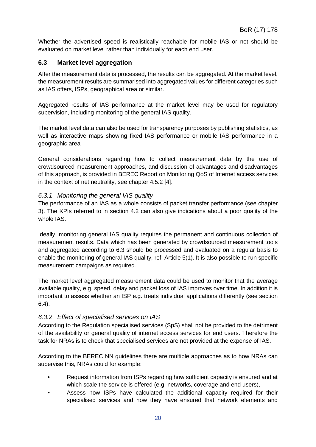Whether the advertised speed is realistically reachable for mobile IAS or not should be evaluated on market level rather than individually for each end user.

#### <span id="page-20-0"></span>**6.3 Market level aggregation**

After the measurement data is processed, the results can be aggregated. At the market level, the measurement results are summarised into aggregated values for different categories such as IAS offers, ISPs, geographical area or similar.

Aggregated results of IAS performance at the market level may be used for regulatory supervision, including monitoring of the general IAS quality.

The market level data can also be used for transparency purposes by publishing statistics, as well as interactive maps showing fixed IAS performance or mobile IAS performance in a geographic area

General considerations regarding how to collect measurement data by the use of crowdsourced measurement approaches, and discussion of advantages and disadvantages of this approach, is provided in BEREC Report on Monitoring QoS of Internet access services in the context of net neutrality, see chapter 4.5.2 [4].

#### *6.3.1 Monitoring the general IAS quality*

The performance of an IAS as a whole consists of packet transfer performance (see chapter 3). The KPIs referred to in section 4.2 can also give indications about a poor quality of the whole IAS.

Ideally, monitoring general IAS quality requires the permanent and continuous collection of measurement results. Data which has been generated by crowdsourced measurement tools and aggregated according to 6.3 should be processed and evaluated on a regular basis to enable the monitoring of general IAS quality, ref. Article 5(1). It is also possible to run specific measurement campaigns as required.

The market level aggregated measurement data could be used to monitor that the average available quality, e.g. speed, delay and packet loss of IAS improves over time. In addition it is important to assess whether an ISP e.g. treats individual applications differently (see section 6.4).

#### *6.3.2 Effect of specialised services on IAS*

According to the Regulation specialised services (SpS) shall not be provided to the detriment of the availability or general quality of internet access services for end users. Therefore the task for NRAs is to check that specialised services are not provided at the expense of IAS.

According to the BEREC NN guidelines there are multiple approaches as to how NRAs can supervise this, NRAs could for example:

- Request information from ISPs regarding how sufficient capacity is ensured and at which scale the service is offered (e.g. networks, coverage and end users),
- Assess how ISPs have calculated the additional capacity required for their specialised services and how they have ensured that network elements and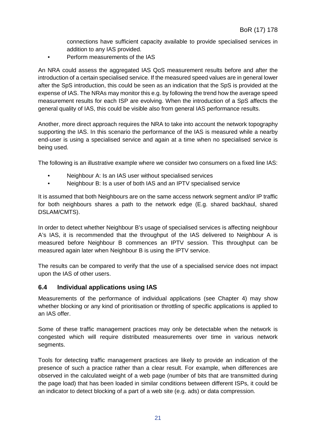connections have sufficient capacity available to provide specialised services in addition to any IAS provided.

• Perform measurements of the IAS

An NRA could assess the aggregated IAS QoS measurement results before and after the introduction of a certain specialised service. If the measured speed values are in general lower after the SpS introduction, this could be seen as an indication that the SpS is provided at the expense of IAS. The NRAs may monitor this e.g. by following the trend how the average speed measurement results for each ISP are evolving. When the introduction of a SpS affects the general quality of IAS, this could be visible also from general IAS performance results.

Another, more direct approach requires the NRA to take into account the network topography supporting the IAS. In this scenario the performance of the IAS is measured while a nearby end-user is using a specialised service and again at a time when no specialised service is being used.

The following is an illustrative example where we consider two consumers on a fixed line IAS:

- Neighbour A: Is an IAS user without specialised services
- Neighbour B: Is a user of both IAS and an IPTV specialised service

It is assumed that both Neighbours are on the same access network segment and/or IP traffic for both neighbours shares a path to the network edge (E.g. shared backhaul, shared DSLAM/CMTS).

In order to detect whether Neighbour B's usage of specialised services is affecting neighbour A's IAS, it is recommended that the throughput of the IAS delivered to Neighbour A is measured before Neighbour B commences an IPTV session. This throughput can be measured again later when Neighbour B is using the IPTV service.

The results can be compared to verify that the use of a specialised service does not impact upon the IAS of other users.

#### <span id="page-21-0"></span>**6.4 Individual applications using IAS**

Measurements of the performance of individual applications (see Chapter 4) may show whether blocking or any kind of prioritisation or throttling of specific applications is applied to an IAS offer.

Some of these traffic management practices may only be detectable when the network is congested which will require distributed measurements over time in various network segments.

Tools for detecting traffic management practices are likely to provide an indication of the presence of such a practice rather than a clear result. For example, when differences are observed in the calculated weight of a web page (number of bits that are transmitted during the page load) that has been loaded in similar conditions between different ISPs, it could be an indicator to detect blocking of a part of a web site (e.g. ads) or data compression.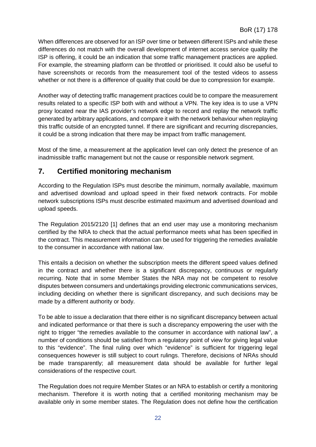When differences are observed for an ISP over time or between different ISPs and while these differences do not match with the overall development of internet access service quality the ISP is offering, it could be an indication that some traffic management practices are applied. For example, the streaming platform can be throttled or prioritised. It could also be useful to have screenshots or records from the measurement tool of the tested videos to assess whether or not there is a difference of quality that could be due to compression for example.

Another way of detecting traffic management practices could be to compare the measurement results related to a specific ISP both with and without a VPN. The key idea is to use a VPN proxy located near the IAS provider's network edge to record and replay the network traffic generated by arbitrary applications, and compare it with the network behaviour when replaying this traffic outside of an encrypted tunnel. If there are significant and recurring discrepancies, it could be a strong indication that there may be impact from traffic management.

Most of the time, a measurement at the application level can only detect the presence of an inadmissible traffic management but not the cause or responsible network segment.

# <span id="page-22-0"></span>**7. Certified monitoring mechanism**

According to the Regulation ISPs must describe the minimum, normally available, maximum and advertised download and upload speed in their fixed network contracts. For mobile network subscriptions ISPs must describe estimated maximum and advertised download and upload speeds.

The Regulation 2015/2120 [1] defines that an end user may use a monitoring mechanism certified by the NRA to check that the actual performance meets what has been specified in the contract. This measurement information can be used for triggering the remedies available to the consumer in accordance with national law.

This entails a decision on whether the subscription meets the different speed values defined in the contract and whether there is a significant discrepancy, continuous or regularly recurring. Note that in some Member States the NRA may not be competent to resolve disputes between consumers and undertakings providing electronic communications services, including deciding on whether there is significant discrepancy, and such decisions may be made by a different authority or body.

To be able to issue a declaration that there either is no significant discrepancy between actual and indicated performance or that there is such a discrepancy empowering the user with the right to trigger "the remedies available to the consumer in accordance with national law", a number of conditions should be satisfied from a regulatory point of view for giving legal value to this "evidence". The final ruling over which "evidence" is sufficient for triggering legal consequences however is still subject to court rulings. Therefore, decisions of NRAs should be made transparently; all measurement data should be available for further legal considerations of the respective court.

The Regulation does not require Member States or an NRA to establish or certify a monitoring mechanism. Therefore it is worth noting that a certified monitoring mechanism may be available only in some member states. The Regulation does not define how the certification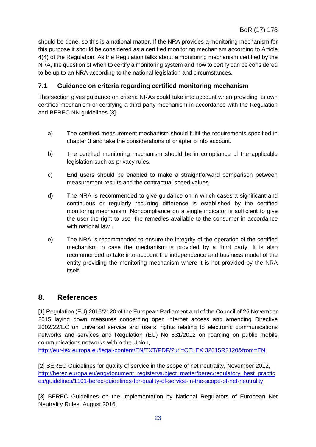should be done, so this is a national matter. If the NRA provides a monitoring mechanism for this purpose it should be considered as a certified monitoring mechanism according to Article 4(4) of the Regulation. As the Regulation talks about a monitoring mechanism certified by the NRA, the question of when to certify a monitoring system and how to certify can be considered to be up to an NRA according to the national legislation and circumstances.

### <span id="page-23-0"></span>**7.1 Guidance on criteria regarding certified monitoring mechanism**

This section gives guidance on criteria NRAs could take into account when providing its own certified mechanism or certifying a third party mechanism in accordance with the Regulation and BEREC NN guidelines [3].

- a) The certified measurement mechanism should fulfil the requirements specified in chapter 3 and take the considerations of chapter 5 into account.
- b) The certified monitoring mechanism should be in compliance of the applicable legislation such as privacy rules.
- c) End users should be enabled to make a straightforward comparison between measurement results and the contractual speed values.
- d) The NRA is recommended to give guidance on in which cases a significant and continuous or regularly recurring difference is established by the certified monitoring mechanism. Noncompliance on a single indicator is sufficient to give the user the right to use "the remedies available to the consumer in accordance with national law".
- e) The NRA is recommended to ensure the integrity of the operation of the certified mechanism in case the mechanism is provided by a third party. It is also recommended to take into account the independence and business model of the entity providing the monitoring mechanism where it is not provided by the NRA itself.

# <span id="page-23-1"></span>**8. References**

[1] Regulation (EU) 2015/2120 of the European Parliament and of the Council of 25 November 2015 laying down measures concerning open internet access and amending Directive 2002/22/EC on universal service and users' rights relating to electronic communications networks and services and Regulation (EU) No 531/2012 on roaming on public mobile communications networks within the Union,

<http://eur-lex.europa.eu/legal-content/EN/TXT/PDF/?uri=CELEX:32015R2120&from=EN>

[2] BEREC Guidelines for quality of service in the scope of net neutrality, November 2012, [http://berec.europa.eu/eng/document\\_register/subject\\_matter/berec/regulatory\\_best\\_practic](http://berec.europa.eu/eng/document_register/subject_matter/berec/regulatory_best_practices/guidelines/1101-berec-guidelines-for-quality-of-service-in-the-scope-of-net-neutrality) [es/guidelines/1101-berec-guidelines-for-quality-of-service-in-the-scope-of-net-neutrality](http://berec.europa.eu/eng/document_register/subject_matter/berec/regulatory_best_practices/guidelines/1101-berec-guidelines-for-quality-of-service-in-the-scope-of-net-neutrality)

[3] BEREC Guidelines on the Implementation by National Regulators of European Net Neutrality Rules, August 2016,